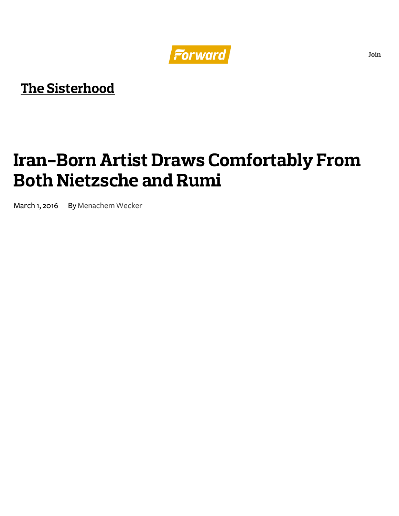

## **The [Sisterhood](http://forward.com/sisterhood/)**

## **Iran-Born Artist Draws Comfortably From Both Nietzsche and Rumi**

March 1, 2016 | By [Menachem](http://forward.com/author/menachem-wecker/) Wecker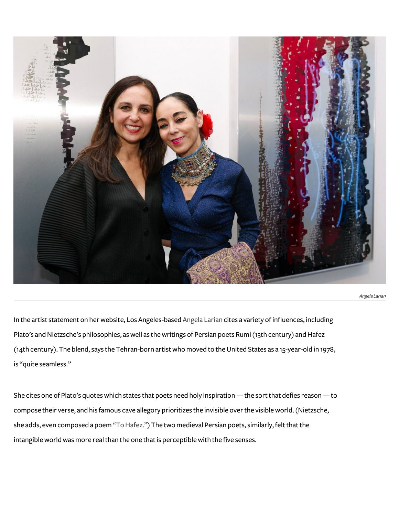

Angela Larian

In the artist statement on her website, Los Angeles-based [Angela](http://www.angelalarian.com/) Larian cites a variety of influences, including Plato's and Nietzsche's philosophies, as well as the writings of Persian poets Rumi (13th century) and Hafez (14th century). The blend, says the Tehran-born artistwhomoved to theUnited States as a 15-year-old in 1978, is "quite seamless."

She cites one of Plato's quotes which states that poets need holy inspiration — the sort that defies reason — to compose their verse, and his famous cave allegory prioritizes the invisible overthe visibleworld.(Nietzsche, she adds, even composed a poem "To Hafez.") The two medieval Persian poets, similarly, felt that the intangible world was more real than the one that is perceptible with the five senses.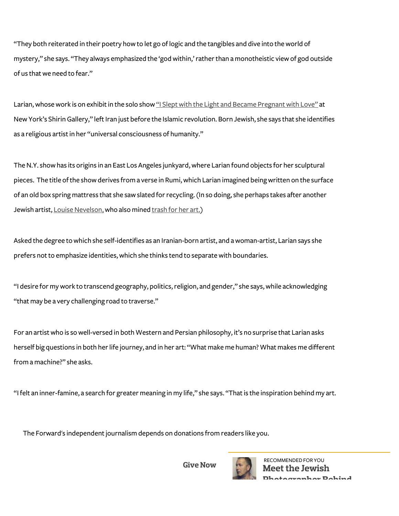"They both reiterated in their poetry how to let go oflogic and the tangibles and dive into theworld of mystery," she says. "They always emphasized the 'god within,' rather than a monotheistic view of god outside of us that we need to fear."

Larian, whose work is on exhibit in the solo show "I Slept with the Light and Became Pregnant with Love" at New York's Shirin Gallery," left Iran just before the Islamic revolution. Born Jewish, she says that she identifies as a religious artist in her "universal consciousness of humanity."

The N.Y. show has its origins in an East Los Angeles junkyard, where Larian found objects for her sculptural pieces. The title of the show derives from a verse in Rumi, which Larian imagined being written on the surface of an old box spring mattress that she saw slated for recycling. (In so doing, she perhaps takes after another Jewish artist, Louise Nevelson, who also mined [trash](http://www.yale.edu/ynhti/curriculum/units/2010/1/10.01.08.x.html) for her art.)

Asked the degree towhich she self-identifies as an Iranian-born artist, and awoman-artist, Larian says she prefers not to emphasize identities, which she thinks tend to separate with boundaries.

"I desire for my work to transcend geography, politics, religion, and gender," she says, while acknowledging "that may be a very challenging road to traverse."

For an artistwho is sowell-versed in both Western and Persian philosophy, it's no surprise that Larian asks herself big questions in both her life journey, and in her art: "What make me human? What makes me different fromamachine?" she asks.

"I felt an inner-famine, a search for greater meaning in my life," she says. "That is the inspiration behind my art.

The Forward's independent journalism depends on donations from readers like you.

**Give Now**



RECOMMENDED FOR YOU **[Meet the](http://forward.com/donate/?int_source=forward.com&int_medium=web&int_campaign=general&int_source=blog_post&int_term=donate_box&int_content=depends_on_donations) Jewish [Photographer Behind](http://forward.com/articles/356593)**